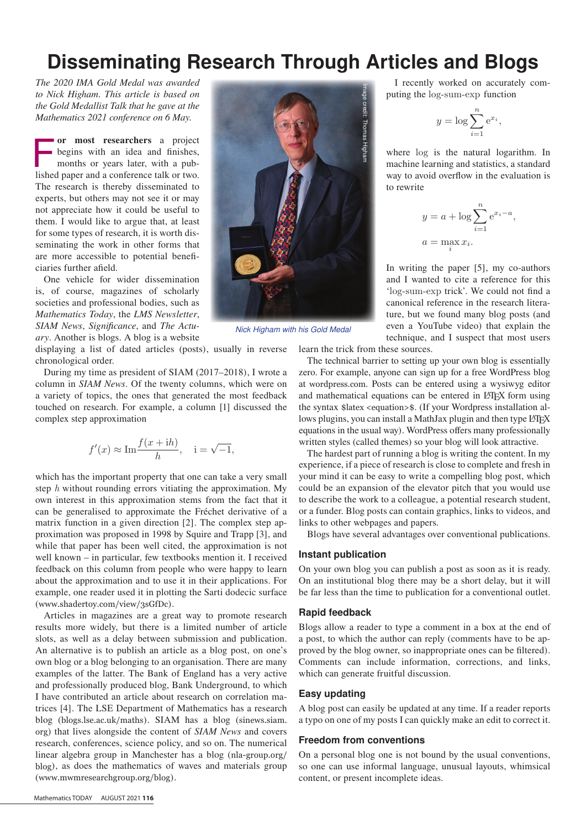# Disseminating Research Through Articles and Blogs

*The 2020 IMA Gold Medal was awarded to Nick Higham. This article is based on the Gold Medallist Talk that he gave at the Mathematics 2021 conference on 6 May.*

or most researchers a project<br>begins with an idea and finishes,<br>months or years later, with a pub-<br>lished paper and a conference talk or two begins with an idea and finishes, months or years later, with a published paper and a conference talk or two. The research is thereby disseminated to experts, but others may not see it or may not appreciate how it could be useful to them. I would like to argue that, at least for some types of research, it is worth disseminating the work in other forms that are more accessible to potential beneficiaries further afield.

One vehicle for wider dissemination is, of course, magazines of scholarly societies and professional bodies, such as *Mathematics Today*, the *LMS Newsletter*, *SIAM News*, *Significance*, and *The Actuary*. Another is blogs. A blog is a website

displaying a list of dated articles (posts), usually in reverse chronological order.

During my time as president of SIAM (2017–2018), I wrote a column in *SIAM News*. Of the twenty columns, which were on a variety of topics, the ones that generated the most feedback touched on research. For example, a column [1] discussed the complex step approximation

$$
f'(x) \approx \text{Im} \frac{f(x + ih)}{h}
$$
,  $i = \sqrt{-1}$ ,

which has the important property that one can take a very small step  $h$  without rounding errors vitiating the approximation. My step  $h$  without rounding errors vitiating the approximation. My own interest in this approximation stems from the fact that it can be generalised to approximate the Fréchet derivative of a matrix function in a given direction [2]. The complex step apmatrix function in a given direction [2]. The complex step approximation was proposed in 1998 by Squire and Trapp [3], and while that paper has been well cited, the approximation is not well known - in particular, few textbooks mention it. I received feedback on this column from people who were happy to learn about the approximation and to use it in their applications. For example, one reader used it in plotting the Sarti dodecic surface (www.shadertoy.com/view/3sGfDc).

Articles in magazines are a great way to promote research results more widely, but there is a limited number of article slots, as well as a delay between submission and publication. An alternative is to publish an article as a blog post, on one's own blog or a blog belonging to an organisation. There are many examples of the latter. The Bank of England has a very active and professionally produced blog, Bank Underground, to which I have contributed an article about research on correlation matrices [4]. The LSE Department of Mathematics has a research blog (blogs.lse.ac.uk/maths). SIAM has a blog (sinews.siam. org) that lives alongside the content of *SIAM News* and covers research, conferences, science policy, and so on. The numerical linear algebra group in Manchester has a blog (nla-group.org/ blog), as does the mathematics of waves and materials group (www.mwmresearchgroup.org/blog).



*Nick Higham with his Gold Medal*

I recently worked on accurately com-<br>tting the log-sum-exp function puting the log-sum-exp function

$$
y = \log \sum_{i=1}^{n} e^{x_i},
$$

where log is the natural logarithm. In where log is the matural logarithm. In<br>machine learning and statistics, a standard way to avoid overflow in the evaluation is to rewrite a = max

$$
y = a + \log \sum_{i=1}^{n} e^{x_i - a},
$$
  

$$
a = \max_{i} x_i.
$$

In writing the paper [5], my co-authors and I wanted to cite a reference for this 'log-sum-exp trick'. We could not find a canonical reference in the research literature, but we found many blog posts (and even a YouTube video) that explain the technique, and I suspect that most users

learn the trick from these sources.

The technical barrier to setting up your own blog is essentially zero. For example, anyone can sign up for a free WordPress blog at wordpress.com. Posts can be entered using a wysiwyg editor and mathematical equations can be entered in LATEX form using the syntax \$latex <equation>\$. (If your Wordpress installation allows plugins, you can install a MathJax plugin and then type LATEX equations in the usual way). WordPress offers many professionally written styles (called themes) so your blog will look attractive.

The hardest part of running a blog is writing the content. In my experience, if a piece of research is close to complete and fresh in your mind it can be easy to write a compelling blog post, which could be an expansion of the elevator pitch that you would use to describe the work to a colleague, a potential research student, or a funder. Blog posts can contain graphics, links to videos, and links to other webpages and papers.

Blogs have several advantages over conventional publications.

#### Instant publication

On your own blog you can publish a post as soon as it is ready. On an institutional blog there may be a short delay, but it will be far less than the time to publication for a conventional outlet.

#### Rapid feedback

Blogs allow a reader to type a comment in a box at the end of a post, to which the author can reply (comments have to be approved by the blog owner, so inappropriate ones can be filtered). Comments can include information, corrections, and links, which can generate fruitful discussion.

# Easy updating

A blog post can easily be updated at any time. If a reader reports a typo on one of my posts I can quickly make an edit to correct it.

#### Freedom from conventions

On a personal blog one is not bound by the usual conventions, so one can use informal language, unusual layouts, whimsical